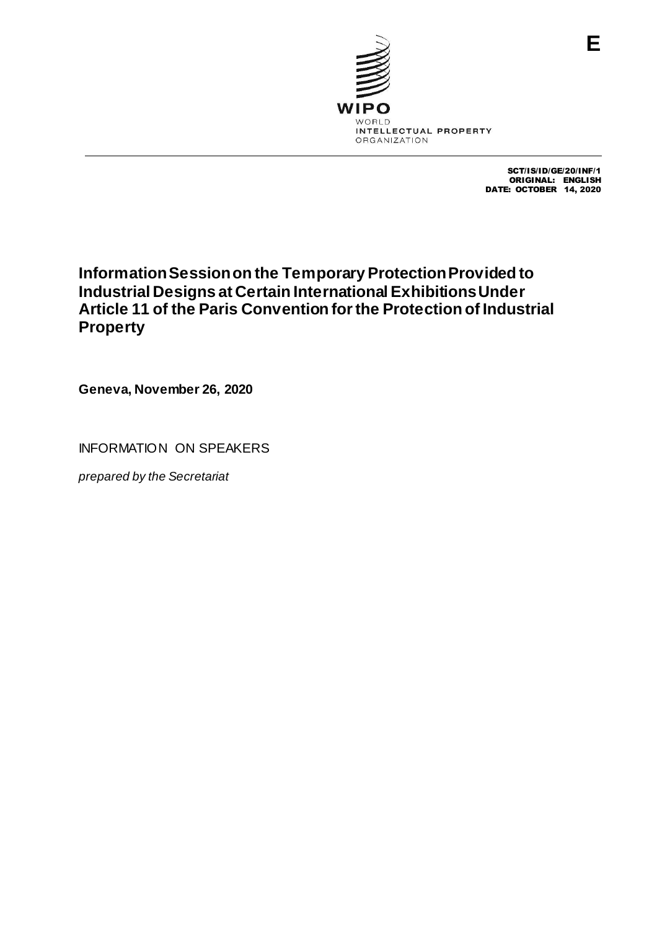

SCT/IS/ID/GE/20/INF/1 ORIGINAL: ENGLISH DATE: OCTOBER 14, 2020

# **Information Session on the Temporary Protection Provided to Industrial Designs at Certain International Exhibitions Under Article 11 of the Paris Convention for the Protection of Industrial Property**

**Geneva, November 26, 2020**

INFORMATION ON SPEAKERS

*prepared by the Secretariat*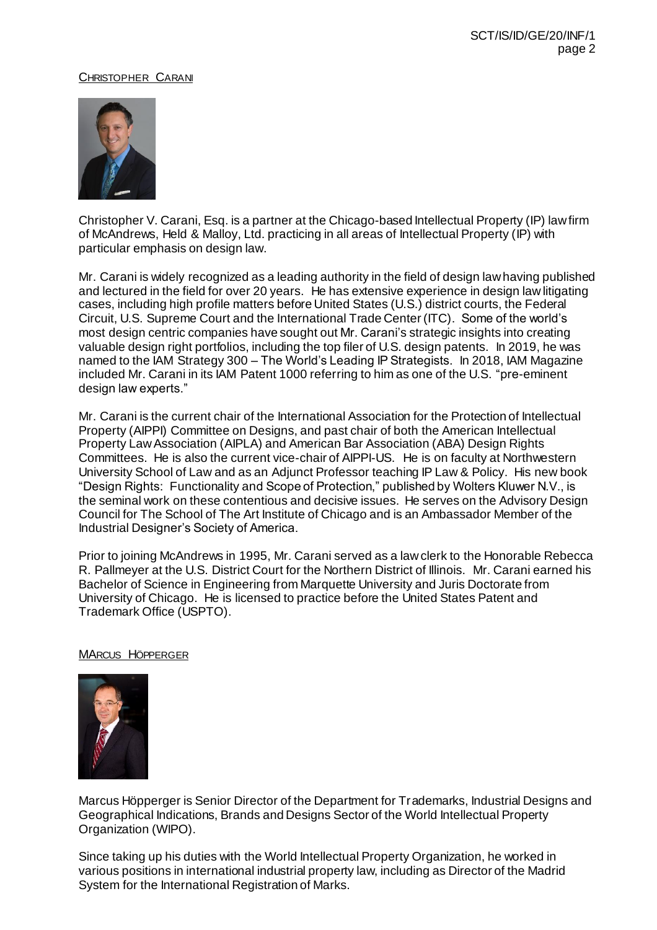# CHRISTOPHER CARANI



Christopher V. Carani, Esq. is a partner at the Chicago-based Intellectual Property (IP) law firm of McAndrews, Held & Malloy, Ltd. practicing in all areas of Intellectual Property (IP) with particular emphasis on design law.

Mr. Carani is widely recognized as a leading authority in the field of design law having published and lectured in the field for over 20 years. He has extensive experience in design law litigating cases, including high profile matters before United States (U.S.) district courts, the Federal Circuit, U.S. Supreme Court and the International Trade Center (ITC). Some of the world's most design centric companies have sought out Mr. Carani's strategic insights into creating valuable design right portfolios, including the top filer of U.S. design patents. In 2019, he was named to the IAM Strategy 300 – The World's Leading IP Strategists. In 2018, IAM Magazine included Mr. Carani in its IAM Patent 1000 referring to him as one of the U.S. "pre-eminent design law experts."

Mr. Carani is the current chair of the International Association for the Protection of Intellectual Property (AIPPI) Committee on Designs, and past chair of both the American Intellectual Property Law Association (AIPLA) and American Bar Association (ABA) Design Rights Committees. He is also the current vice-chair of AIPPI-US. He is on faculty at Northwestern University School of Law and as an Adjunct Professor teaching IP Law & Policy. His new book "Design Rights: Functionality and Scope of Protection," published by Wolters Kluwer N.V., is the seminal work on these contentious and decisive issues. He serves on the Advisory Design Council for The School of The Art Institute of Chicago and is an Ambassador Member of the Industrial Designer's Society of America.

Prior to joining McAndrews in 1995, Mr. Carani served as a law clerk to the Honorable Rebecca R. Pallmeyer at the U.S. District Court for the Northern District of Illinois. Mr. Carani earned his Bachelor of Science in Engineering from Marquette University and Juris Doctorate from University of Chicago. He is licensed to practice before the United States Patent and Trademark Office (USPTO).

# MARCUS HÖPPERGER



Marcus Höpperger is Senior Director of the Department for Trademarks, Industrial Designs and Geographical Indications, Brands and Designs Sector of the World Intellectual Property Organization (WIPO).

Since taking up his duties with the World Intellectual Property Organization, he worked in various positions in international industrial property law, including as Director of the Madrid System for the International Registration of Marks.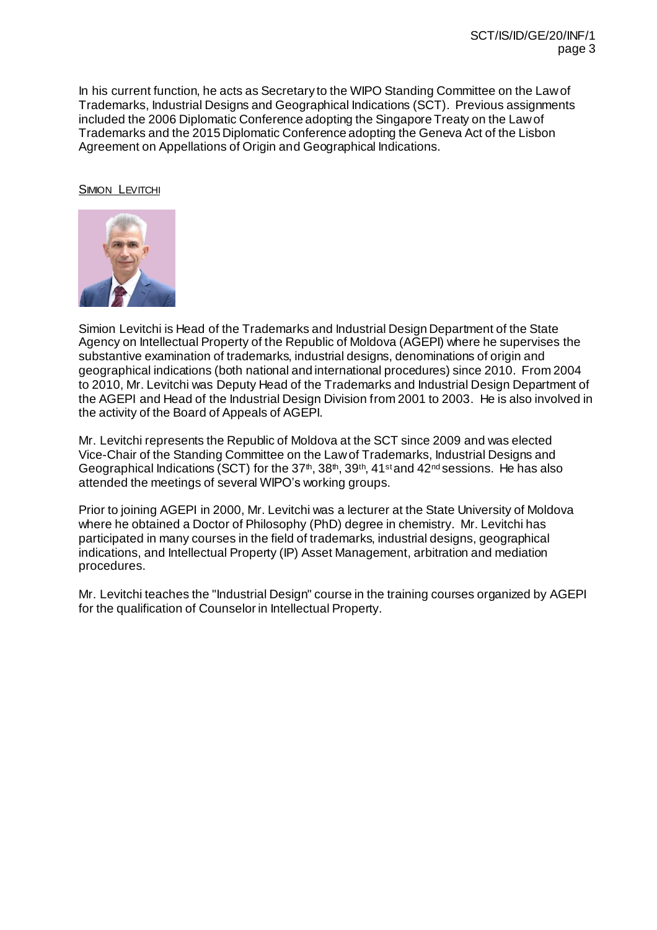In his current function, he acts as Secretary to the WIPO Standing Committee on the Law of Trademarks, Industrial Designs and Geographical Indications (SCT). Previous assignments included the 2006 Diplomatic Conference adopting the Singapore Treaty on the Law of Trademarks and the 2015 Diplomatic Conference adopting the Geneva Act of the Lisbon Agreement on Appellations of Origin and Geographical Indications.

SIMION LEVITCHI



Simion Levitchi is Head of the Trademarks and Industrial Design Department of the State Agency on Intellectual Property of the Republic of Moldova (AGEPI) where he supervises the substantive examination of trademarks, industrial designs, denominations of origin and geographical indications (both national and international procedures) since 2010. From 2004 to 2010, Mr. Levitchi was Deputy Head of the Trademarks and Industrial Design Department of the AGEPI and Head of the Industrial Design Division from 2001 to 2003. He is also involved in the activity of the Board of Appeals of AGEPI.

Mr. Levitchi represents the Republic of Moldova at the SCT since 2009 and was elected Vice-Chair of the Standing Committee on the Law of Trademarks, Industrial Designs and Geographical Indications (SCT) for the 37<sup>th</sup>, 38<sup>th</sup>, 39<sup>th</sup>, 41<sup>st</sup> and 42<sup>nd</sup> sessions. He has also attended the meetings of several WIPO's working groups.

Prior to joining AGEPI in 2000, Mr. Levitchi was a lecturer at the State University of Moldova where he obtained a Doctor of Philosophy (PhD) degree in chemistry. Mr. Levitchi has participated in many courses in the field of trademarks, industrial designs, geographical indications, and Intellectual Property (IP) Asset Management, arbitration and mediation procedures.

Mr. Levitchi teaches the "Industrial Design" course in the training courses organized by AGEPI for the qualification of Counselor in Intellectual Property.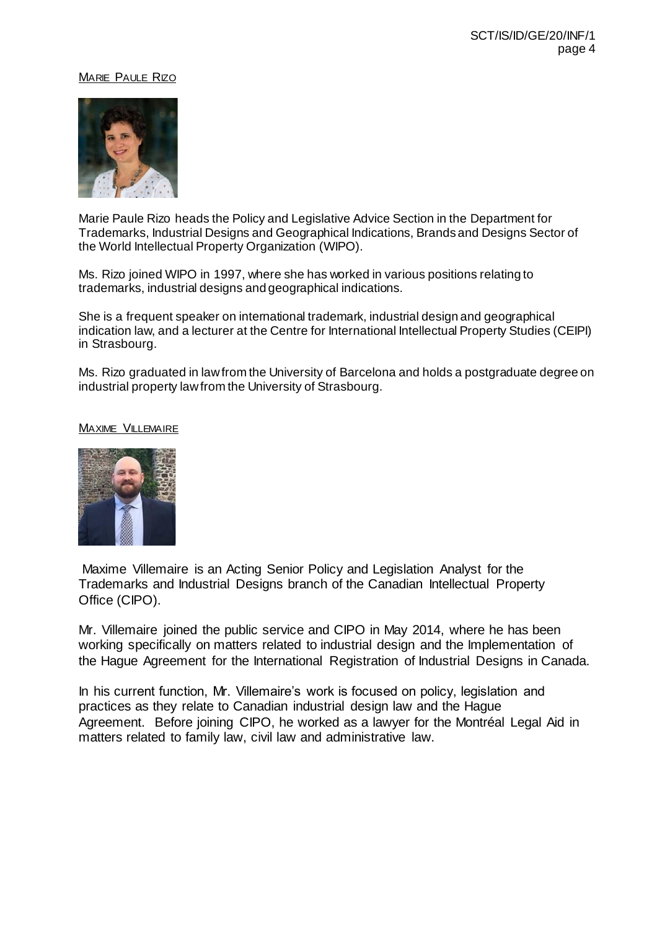## MARIE PAULE RIZO



Marie Paule Rizo heads the Policy and Legislative Advice Section in the Department for Trademarks, Industrial Designs and Geographical Indications, Brands and Designs Sector of the World Intellectual Property Organization (WIPO).

Ms. Rizo joined WIPO in 1997, where she has worked in various positions relating to trademarks, industrial designs and geographical indications.

She is a frequent speaker on international trademark, industrial design and geographical indication law, and a lecturer at the Centre for International Intellectual Property Studies (CEIPI) in Strasbourg.

Ms. Rizo graduated in law from the University of Barcelona and holds a postgraduate degree on industrial property law from the University of Strasbourg.

#### MAXIME VILLEMAIRE



Maxime Villemaire is an Acting Senior Policy and Legislation Analyst for the Trademarks and Industrial Designs branch of the Canadian Intellectual Property Office (CIPO).

Mr. Villemaire joined the public service and CIPO in May 2014, where he has been working specifically on matters related to industrial design and the Implementation of the Hague Agreement for the International Registration of Industrial Designs in Canada.

In his current function, Mr. Villemaire's work is focused on policy, legislation and practices as they relate to Canadian industrial design law and the Hague Agreement. Before joining CIPO, he worked as a lawyer for the Montréal Legal Aid in matters related to family law, civil law and administrative law.